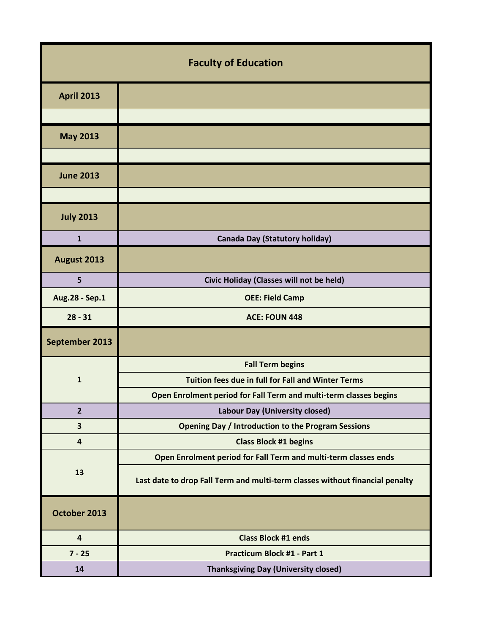| <b>Faculty of Education</b> |                                                                              |
|-----------------------------|------------------------------------------------------------------------------|
| <b>April 2013</b>           |                                                                              |
|                             |                                                                              |
| <b>May 2013</b>             |                                                                              |
|                             |                                                                              |
| <b>June 2013</b>            |                                                                              |
|                             |                                                                              |
| <b>July 2013</b>            |                                                                              |
| $\mathbf{1}$                | <b>Canada Day (Statutory holiday)</b>                                        |
| August 2013                 |                                                                              |
| 5                           | Civic Holiday (Classes will not be held)                                     |
| Aug.28 - Sep.1              | <b>OEE: Field Camp</b>                                                       |
| $28 - 31$                   | <b>ACE: FOUN 448</b>                                                         |
| September 2013              |                                                                              |
| $\mathbf{1}$                | <b>Fall Term begins</b>                                                      |
|                             | Tuition fees due in full for Fall and Winter Terms                           |
|                             | Open Enrolment period for Fall Term and multi-term classes begins            |
| $\overline{2}$              | <b>Labour Day (University closed)</b>                                        |
| 3                           | <b>Opening Day / Introduction to the Program Sessions</b>                    |
| $\overline{4}$              | <b>Class Block #1 begins</b>                                                 |
| 13                          | Open Enrolment period for Fall Term and multi-term classes ends              |
|                             | Last date to drop Fall Term and multi-term classes without financial penalty |
| October 2013                |                                                                              |
| $\overline{\mathbf{4}}$     | <b>Class Block #1 ends</b>                                                   |
| $7 - 25$                    | Practicum Block #1 - Part 1                                                  |
| 14                          | <b>Thanksgiving Day (University closed)</b>                                  |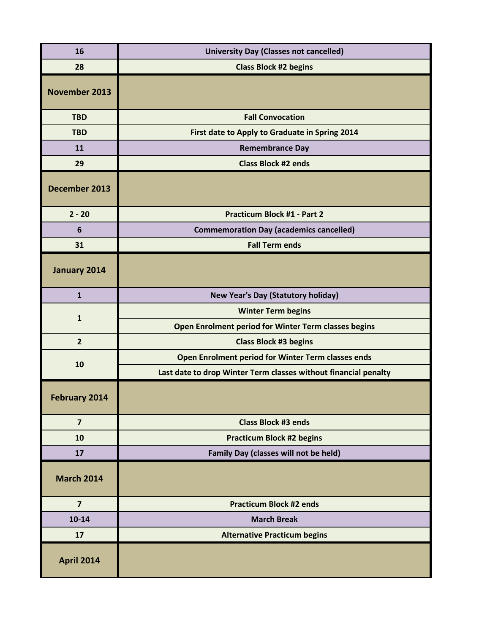| 16                   | <b>University Day (Classes not cancelled)</b>                   |
|----------------------|-----------------------------------------------------------------|
| 28                   | <b>Class Block #2 begins</b>                                    |
| <b>November 2013</b> |                                                                 |
| <b>TBD</b>           | <b>Fall Convocation</b>                                         |
| <b>TBD</b>           | First date to Apply to Graduate in Spring 2014                  |
| 11                   | <b>Remembrance Day</b>                                          |
| 29                   | <b>Class Block #2 ends</b>                                      |
| December 2013        |                                                                 |
| $2 - 20$             | <b>Practicum Block #1 - Part 2</b>                              |
| 6                    | <b>Commemoration Day (academics cancelled)</b>                  |
| 31                   | <b>Fall Term ends</b>                                           |
| January 2014         |                                                                 |
| $\mathbf{1}$         | <b>New Year's Day (Statutory holiday)</b>                       |
| $\mathbf{1}$         | <b>Winter Term begins</b>                                       |
|                      | Open Enrolment period for Winter Term classes begins            |
| $\overline{2}$       | <b>Class Block #3 begins</b>                                    |
| 10                   | Open Enrolment period for Winter Term classes ends              |
|                      | Last date to drop Winter Term classes without financial penalty |
| <b>February 2014</b> |                                                                 |
| $\overline{7}$       | <b>Class Block #3 ends</b>                                      |
| 10                   | <b>Practicum Block #2 begins</b>                                |
| 17                   | Family Day (classes will not be held)                           |
| <b>March 2014</b>    |                                                                 |
| $\overline{7}$       | <b>Practicum Block #2 ends</b>                                  |
| $10 - 14$            | <b>March Break</b>                                              |
| 17                   | <b>Alternative Practicum begins</b>                             |
| <b>April 2014</b>    |                                                                 |